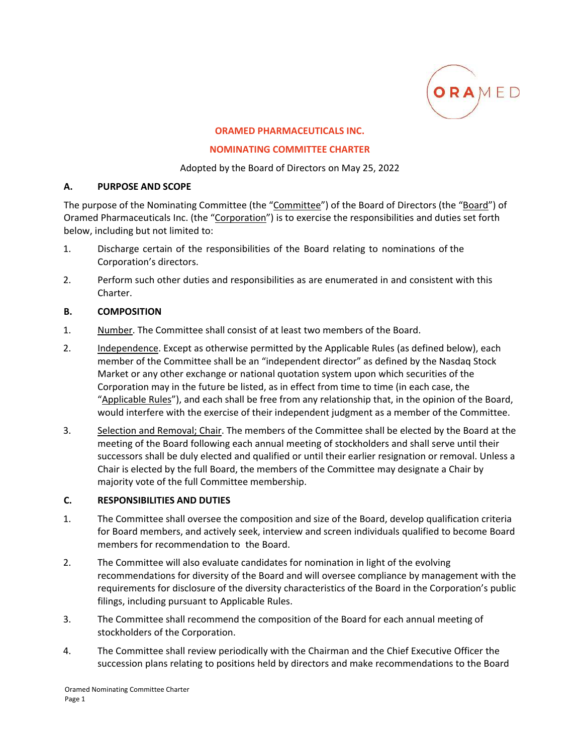

### **ORAMED PHARMACEUTICALS INC.**

#### **NOMINATING COMMITTEE CHARTER**

Adopted by the Board of Directors on May 25, 2022

### **A. PURPOSE AND SCOPE**

The purpose of the Nominating Committee (the "Committee") of the Board of Directors (the "Board") of Oramed Pharmaceuticals Inc. (the "Corporation") is to exercise the responsibilities and duties set forth below, including but not limited to:

- 1. Discharge certain of the responsibilities of the Board relating to nominations of the Corporation's directors.
- 2. Perform such other duties and responsibilities as are enumerated in and consistent with this Charter.

### **B. COMPOSITION**

- 1. Number. The Committee shall consist of at least two members of the Board.
- 2. Independence. Except as otherwise permitted by the Applicable Rules (as defined below), each member of the Committee shall be an "independent director" as defined by the Nasdaq Stock Market or any other exchange or national quotation system upon which securities of the Corporation may in the future be listed, as in effect from time to time (in each case, the "Applicable Rules"), and each shall be free from any relationship that, in the opinion of the Board, would interfere with the exercise of their independent judgment as a member of the Committee.
- 3. Selection and Removal; Chair. The members of the Committee shall be elected by the Board at the meeting of the Board following each annual meeting of stockholders and shall serve until their successors shall be duly elected and qualified or until their earlier resignation or removal. Unless a Chair is elected by the full Board, the members of the Committee may designate a Chair by majority vote of the full Committee membership.

### **C. RESPONSIBILITIES AND DUTIES**

- 1. The Committee shall oversee the composition and size of the Board, develop qualification criteria for Board members, and actively seek, interview and screen individuals qualified to become Board members for recommendation to the Board.
- 2. The Committee will also evaluate candidates for nomination in light of the evolving recommendations for diversity of the Board and will oversee compliance by management with the requirements for disclosure of the diversity characteristics of the Board in the Corporation's public filings, including pursuant to Applicable Rules.
- 3. The Committee shall recommend the composition of the Board for each annual meeting of stockholders of the Corporation.
- 4. The Committee shall review periodically with the Chairman and the Chief Executive Officer the succession plans relating to positions held by directors and make recommendations to the Board